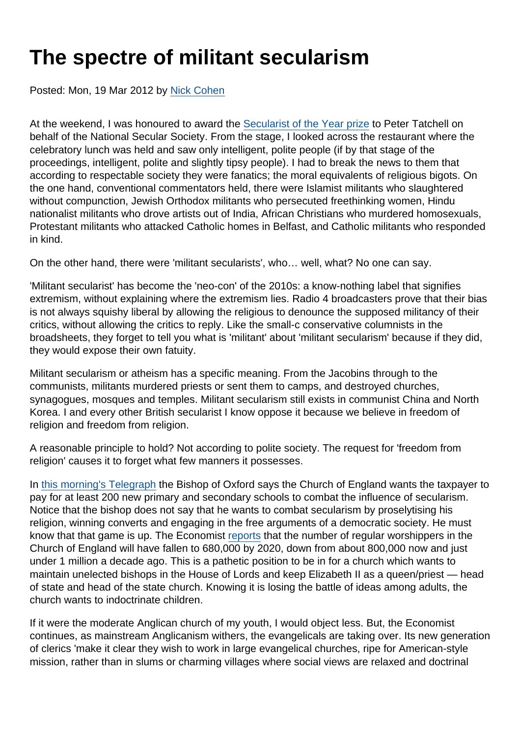## The spectre of militant secularism

Posted: Mon, 19 Mar 2012 by [Nick Cohen](https://www.secularism.org.uk/opinion/authors/942)

At the weekend, I was honoured to award the [Secularist of the Year prize](https://www.secularism.org.uk/news/2012/03/peter-tatchell-named-secularist-of-the-year) to Peter Tatchell on behalf of the National Secular Society. From the stage, I looked across the restaurant where the celebratory lunch was held and saw only intelligent, polite people (if by that stage of the proceedings, intelligent, polite and slightly tipsy people). I had to break the news to them that according to respectable society they were fanatics; the moral equivalents of religious bigots. On the one hand, conventional commentators held, there were Islamist militants who slaughtered without compunction, Jewish Orthodox militants who persecuted freethinking women, Hindu nationalist militants who drove artists out of India, African Christians who murdered homosexuals, Protestant militants who attacked Catholic homes in Belfast, and Catholic militants who responded in kind.

On the other hand, there were 'militant secularists', who… well, what? No one can say.

'Militant secularist' has become the 'neo-con' of the 2010s: a know-nothing label that signifies extremism, without explaining where the extremism lies. Radio 4 broadcasters prove that their bias is not always squishy liberal by allowing the religious to denounce the supposed militancy of their critics, without allowing the critics to reply. Like the small-c conservative columnists in the broadsheets, they forget to tell you what is 'militant' about 'militant secularism' because if they did, they would expose their own fatuity.

Militant secularism or atheism has a specific meaning. From the Jacobins through to the communists, militants murdered priests or sent them to camps, and destroyed churches, synagogues, mosques and temples. Militant secularism still exists in communist China and North Korea. I and every other British secularist I know oppose it because we believe in freedom of religion and freedom from religion.

A reasonable principle to hold? Not according to polite society. The request for 'freedom from religion' causes it to forget what few manners it possesses.

In [this morning's Telegraph](http://www.telegraph.co.uk/education/educationnews/9151438/Anglican-schools-to-expand-to-combat-secularism.html) the Bishop of Oxford says the Church of England wants the taxpayer to pay for at least 200 new primary and secondary schools to combat the influence of secularism. Notice that the bishop does not say that he wants to combat secularism by proselytising his religion, winning converts and engaging in the free arguments of a democratic society. He must know that that game is up. The Economist [reports](http://www.economist.com/node/21549943) that the number of regular worshippers in the Church of England will have fallen to 680,000 by 2020, down from about 800,000 now and just under 1 million a decade ago. This is a pathetic position to be in for a church which wants to maintain unelected bishops in the House of Lords and keep Elizabeth II as a queen/priest — head of state and head of the state church. Knowing it is losing the battle of ideas among adults, the church wants to indoctrinate children.

If it were the moderate Anglican church of my youth, I would object less. But, the Economist continues, as mainstream Anglicanism withers, the evangelicals are taking over. Its new generation of clerics 'make it clear they wish to work in large evangelical churches, ripe for American-style mission, rather than in slums or charming villages where social views are relaxed and doctrinal